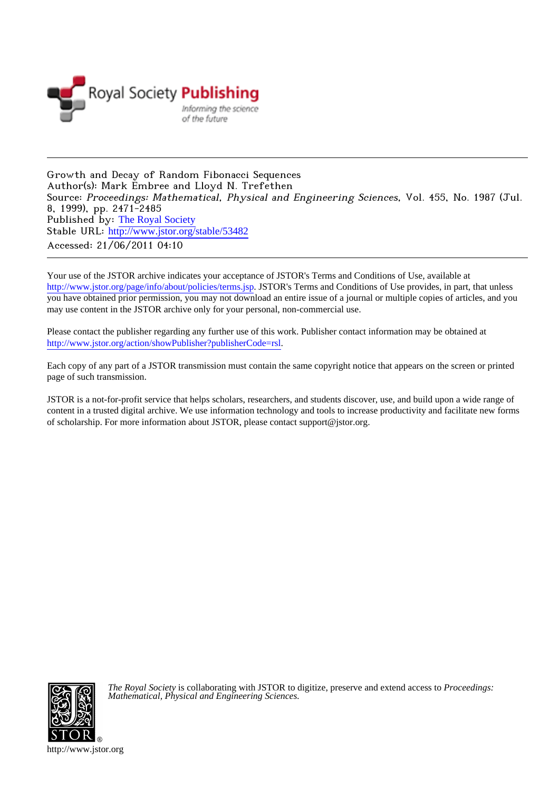

Growth and Decay of Random Fibonacci Sequences Author(s): Mark Embree and Lloyd N. Trefethen Source: Proceedings: Mathematical, Physical and Engineering Sciences, Vol. 455, No. 1987 (Jul. 8, 1999), pp. 2471-2485 Published by: [The Royal Society](http://www.jstor.org/action/showPublisher?publisherCode=rsl) Stable URL: [http://www.jstor.org/stable/53482](http://www.jstor.org/stable/53482?origin=JSTOR-pdf) Accessed: 21/06/2011 04:10

Your use of the JSTOR archive indicates your acceptance of JSTOR's Terms and Conditions of Use, available at <http://www.jstor.org/page/info/about/policies/terms.jsp>. JSTOR's Terms and Conditions of Use provides, in part, that unless you have obtained prior permission, you may not download an entire issue of a journal or multiple copies of articles, and you may use content in the JSTOR archive only for your personal, non-commercial use.

Please contact the publisher regarding any further use of this work. Publisher contact information may be obtained at [http://www.jstor.org/action/showPublisher?publisherCode=rsl.](http://www.jstor.org/action/showPublisher?publisherCode=rsl)

Each copy of any part of a JSTOR transmission must contain the same copyright notice that appears on the screen or printed page of such transmission.

JSTOR is a not-for-profit service that helps scholars, researchers, and students discover, use, and build upon a wide range of content in a trusted digital archive. We use information technology and tools to increase productivity and facilitate new forms of scholarship. For more information about JSTOR, please contact support@jstor.org.



*The Royal Society* is collaborating with JSTOR to digitize, preserve and extend access to *Proceedings: Mathematical, Physical and Engineering Sciences.*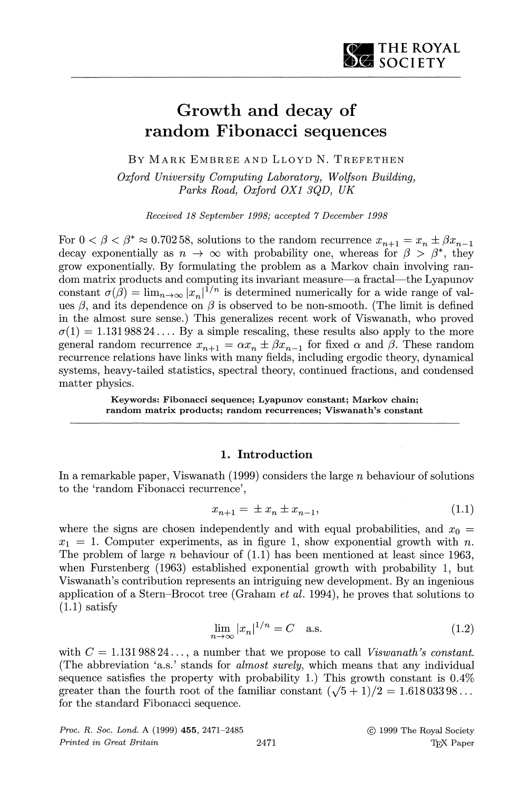# **Growth and decay of random Fibonacci sequences**

**BY MARK EMBREE AND LLOYD N. TREFETHEN** 

**Oxford University Computing Laboratory, Wolfson Building, Parks Road, Oxford OX1 3QD, UK** 

**Received 18 September 1998; accepted 7 December 1998** 

For  $0 < \beta < \beta^* \approx 0.70258$ , solutions to the random recurrence  $x_{n+1} = x_n \pm \beta x_{n-1}$ decay exponentially as  $n \to \infty$  with probability one, whereas for  $\beta > \beta^*$ , they **grow exponentially. By formulating the problem as a Markov chain involving random matrix products and computing its invariant measure-a fractal-the Lyapunov**  constant  $\sigma(\beta) = \lim_{n \to \infty} |x_n|^{1/n}$  is determined numerically for a wide range of values  $\beta$ , and its dependence on  $\beta$  is observed to be non-smooth. (The limit is defined **in the almost sure sense.) This generalizes recent work of Viswanath, who proved**   $\sigma(1) = 1.13198824...$  By a simple rescaling, these results also apply to the more **general random recurrence**  $x_{n+1} = \alpha x_n \pm \beta x_{n-1}$  **for fixed**  $\alpha$  **and**  $\beta$ **. These random recurrence relations have links with many fields, including ergodic theory, dynamical systems, heavy-tailed statistics, spectral theory, continued fractions, and condensed matter physics.** 

> **Keywords: Fibonacci sequence; Lyapunov constant; Markov chain; random matrix products; random recurrences; Viswanath's constant**

## **1. Introduction**

**In a remarkable paper, Viswanath (1999) considers the large n behaviour of solutions to the 'random Fibonacci recurrence',** 

$$
x_{n+1} = \pm x_n \pm x_{n-1}, \tag{1.1}
$$

where the signs are chosen independently and with equal probabilities, and  $x_0 =$  $x_1 = 1$ . Computer experiments, as in figure 1, show exponential growth with n. **The problem of large n behaviour of (1.1) has been mentioned at least since 1963,**  when Furstenberg (1963) established exponential growth with probability 1, but **Viswanath's contribution represents an intriguing new development. By an ingenious application of a Stern-Brocot tree (Graham et al. 1994), he proves that solutions to (1.1) satisfy** 

$$
\lim_{n \to \infty} |x_n|^{1/n} = C \quad \text{a.s.} \tag{1.2}
$$

with  $C = 1.13198824...$ , a number that we propose to call Viswanath's constant. **(The abbreviation 'a.s.' stands for almost surely, which means that any individual sequence satisfies the property with probability 1.) This growth constant is 0.4%**  greater than the fourth root of the familiar constant  $(\sqrt{5} + 1)/2 = 1.61803398...$ **for the standard Fibonacci sequence.**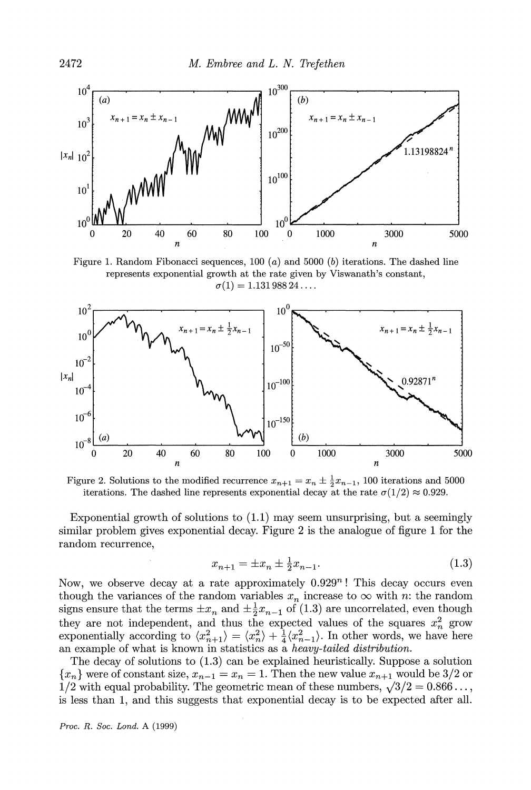

**Figure 1. Random Fibonacci sequences, 100 (a) and 5000 (b) iterations. The dashed line represents exponential growth at the rate given by Viswanath's constant,**   $\sigma(1) = 1.13198824...$ 



**Figure 2. Solutions to the modified recurrence**  $x_{n+1} = x_n \pm \frac{1}{2}x_{n-1}$ , 100 iterations and 5000 iterations. The dashed line represents exponential decay at the rate  $\sigma(1/2) \approx 0.929$ .

Exponential growth of solutions to  $(1.1)$  may seem unsurprising, but a seemingly **similar problem gives exponential decay. Figure 2is the analogue of figure 1 for the random recurrence,** 

$$
x_{n+1} = \pm x_n \pm \frac{1}{2} x_{n-1}.\tag{1.3}
$$

Now, we observe decay at a rate approximately  $0.929<sup>n</sup>$ ! This decay occurs even though the variances of the random variables  $x_n$  increase to  $\infty$  with *n*: the random signs ensure that the terms  $\pm x_n$  and  $\pm \frac{1}{2}x_{n-1}$  of (1.3) are uncorrelated, even though they are not independent, and thus the expected values of the squares  $x_n^2$  grow exponentially according to  $\langle x_{n+1}^2 \rangle = \langle x_n^2 \rangle + \frac{1}{4} \langle x_{n-1}^2 \rangle$ . In other words, we have here **an example of what is known in statistics as a heavy-tailed distribution.** 

**The decay of solutions to (1.3) can be explained heuristically. Suppose a solution**   ${x_n}$  were of constant size,  $x_{n-1} = x_n = 1$ . Then the new value  $x_{n+1}$  would be 3/2 or 1/2 with equal probability. The geometric mean of these numbers,  $\sqrt{3}/2 = 0.866...$ , **is less than 1, and this suggests that exponential decay is to be expected after all.**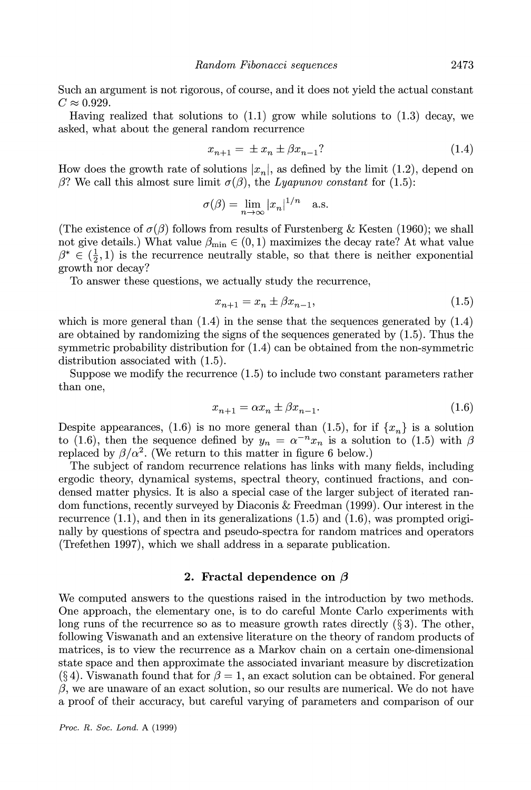**Such an argument is not rigorous, of course, and it does not yield the actual constant**   $C \approx 0.929$ .

**Having realized that solutions to (1.1) grow while solutions to (1.3) decay, we asked, what about the general random recurrence** 

$$
x_{n+1} = \pm x_n \pm \beta x_{n-1} ? \tag{1.4}
$$

**2473** 

**How does the growth rate of solutions**  $|x_n|$ **, as defined by the limit (1.2), depend on**  $\beta$ ? We call this almost sure limit  $\sigma(\beta)$ , the *Lyapunov constant* for (1.5):

$$
\sigma(\beta) = \lim_{n \to \infty} |x_n|^{1/n} \quad \text{a.s.}
$$

(The existence of  $\sigma(\beta)$  follows from results of Furstenberg & Kesten (1960); we shall not give details.) What value  $\beta_{\text{min}} \in (0, 1)$  maximizes the decay rate? At what value  $\beta^* \in (\frac{1}{2}, 1)$  is the recurrence neutrally stable, so that there is neither exponential **growth nor decay?** 

**To answer these questions, we actually study the recurrence,** 

$$
x_{n+1} = x_n \pm \beta x_{n-1},
$$
\n(1.5)

which is more general than  $(1.4)$  in the sense that the sequences generated by  $(1.4)$ **are obtained by randomizing the signs of the sequences generated by (1.5). Thus the symmetric probability distribution for (1.4) can be obtained from the non-symmetric distribution associated with (1.5).** 

**Suppose we modify the recurrence (1.5) to include two constant parameters rather than one,** 

$$
x_{n+1} = \alpha x_n \pm \beta x_{n-1}.\tag{1.6}
$$

Despite appearances, (1.6) is no more general than (1.5), for if  $\{x_n\}$  is a solution to (1.6), then the sequence defined by  $y_n = \alpha^{-n} x_n$  is a solution to (1.5) with  $\beta$ replaced by  $\beta/\alpha^2$ . (We return to this matter in figure 6 below.)

**The subject of random recurrence relations has links with many fields, including ergodic theory, dynamical systems, spectral theory, continued fractions, and condensed matter physics. It is also a special case of the larger subject of iterated random functions, recently surveyed by Diaconis & Freedman (1999). Our interest in the recurrence (1.1), and then in its generalizations (1.5) and (1.6), was prompted originally by questions of spectra and pseudo-spectra for random matrices and operators (Trefethen 1997), which we shall address in a separate publication.** 

#### **2. Fractal dependence on**  $\beta$

**We computed answers to the questions raised in the introduction by two methods. One approach, the elementary one, is to do careful Monte Carlo experiments with**  long runs of the recurrence so as to measure growth rates directly  $(\S 3)$ . The other, **following Viswanath and an extensive literature on the theory of random products of matrices, is to view the recurrence as a Markov chain on a certain one-dimensional state space and then approximate the associated invariant measure by discretization**  (§ 4). Viswanath found that for  $\beta = 1$ , an exact solution can be obtained. For general  $\beta$ , we are unaware of an exact solution, so our results are numerical. We do not have **a proof of their accuracy, but careful varying of parameters and comparison of our**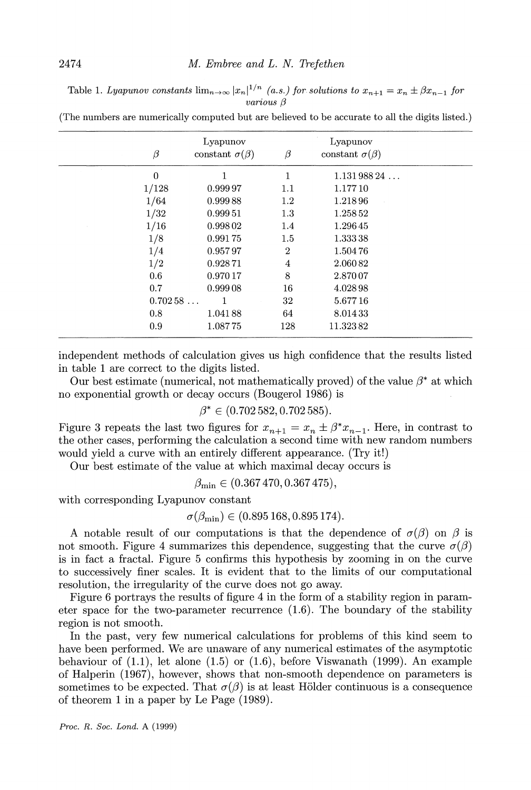**Table 1. Lyapunov constants**  $\lim_{n\to\infty} |x_n|^{1/n}$  **(a.s.) for solutions to**  $x_{n+1} = x_n \pm \beta x_{n-1}$  **for various 3** 

**(The numbers are numerically computed but are believed to be accurate to all the digits listed.)** 

| $\beta$        | Lyapunov<br>constant $\sigma(\beta)$ | $\beta$        | Lyapunov<br>constant $\sigma(\beta)$ |  |
|----------------|--------------------------------------|----------------|--------------------------------------|--|
| $\overline{0}$ | 1                                    | 1              | 1.13198824                           |  |
| 1/128          | 0.99997                              | 1.1            | 1.17710                              |  |
| 1/64           | 0.99988                              | 1.2            | 1.21896                              |  |
| 1/32           | 0.99951                              | 1.3            | 1.258 52                             |  |
| 1/16           | 0.99802                              | 1.4            | 1.29645                              |  |
| 1/8            | 0.99175                              | 1.5            | 1.33338                              |  |
| 1/4            | 0.95797                              | $\overline{2}$ | 1.50476                              |  |
| 1/2            | 0.92871                              | 4              | 2.06082                              |  |
| 0.6            | 0.97017                              | 8              | 2.87007                              |  |
| 0.7            | 0.99908                              | 16             | 4.02898                              |  |
| 0.70258        |                                      | 32             | 5.67716                              |  |
| 0.8            | 1.04188                              | 64             | 8.01433                              |  |
| 0.9            | 1.08775                              | 128            | 11.32382                             |  |

**independent methods of calculation gives us high confidence that the results listed in table 1 are correct to the digits listed.** 

Our best estimate (numerical, not mathematically proved) of the value  $\beta^*$  at which **no exponential growth or decay occurs (Bougerol 1986) is** 

$$
\beta^* \in (0.702\,582, 0.702\,585).
$$

Figure 3 repeats the last two figures for  $x_{n+1} = x_n \pm \beta^* x_{n-1}$ . Here, in contrast to **the other cases, performing the calculation a second time with new random numbers would yield a curve with an entirely different appearance. (Try it!)** 

**Our best estimate of the value at which maximal decay occurs is** 

$$
\beta_{\min} \in (0.367\,470, 0.367\,475),
$$

**with corresponding Lyapunov constant** 

$$
\sigma(\beta_{\min}) \in (0.895\,168, 0.895\,174).
$$

**A** notable result of our computations is that the dependence of  $\sigma(\beta)$  on  $\beta$  is not smooth. Figure 4 summarizes this dependence, suggesting that the curve  $\sigma(\beta)$ **is in fact a fractal. Figure 5 confirms this hypothesis by zooming in on the curve to successively finer scales. It is evident that to the limits of our computational resolution, the irregularity of the curve does not go away.** 

**Figure 6 portrays the results of figure 4 in the form of a stability region in parameter space for the two-parameter recurrence (1.6). The boundary of the stability region is not smooth.** 

**In the past, very few numerical calculations for problems of this kind seem to have been performed. We are unaware of any numerical estimates of the asymptotic behaviour of (1.1), let alone (1.5) or (1.6), before Viswanath (1999). An example of Halperin (1967), however, shows that non-smooth dependence on parameters is**  sometimes to be expected. That  $\sigma(\beta)$  is at least Hölder continuous is a consequence **of theorem 1 in a paper by Le Page (1989).**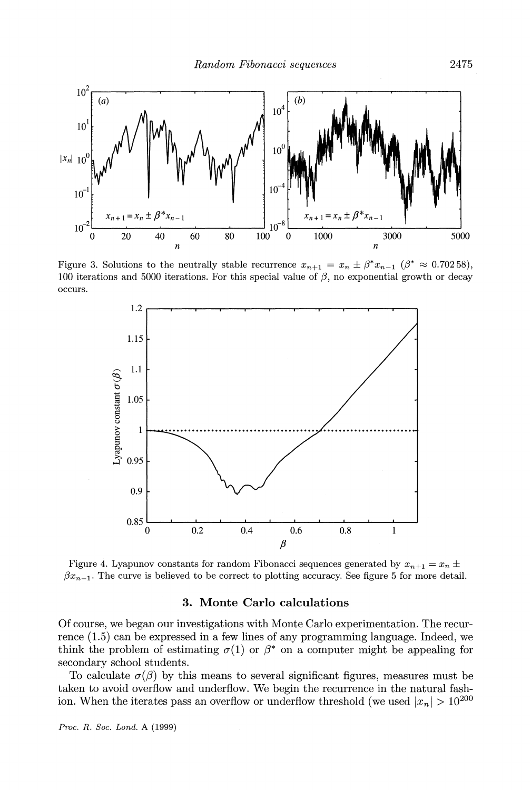

Figure 3. Solutions to the neutrally stable recurrence  $x_{n+1} = x_n \pm \beta^* x_{n-1}$  ( $\beta^* \approx 0.70258$ ), 100 iterations and 5000 iterations. For this special value of  $\beta$ , no exponential growth or decay **occurs.** 



Figure 4. Lyapunov constants for random Fibonacci sequences generated by  $x_{n+1} = x_n \pm \sqrt{\frac{y_n^2}{n}}$  $\beta x_{n-1}$ . The curve is believed to be correct to plotting accuracy. See figure 5 for more detail.

## **3. Monte Carlo calculations**

**Of course, we began our investigations with Monte Carlo experimentation. The recurrence (1.5) can be expressed in a few lines of any programming language. Indeed, we**  think the problem of estimating  $\sigma(1)$  or  $\beta^*$  on a computer might be appealing for **secondary school students.** 

To calculate  $\sigma(\beta)$  by this means to several significant figures, measures must be **taken to avoid overflow and underflow. We begin the recurrence in the natural fash**ion. When the iterates pass an overflow or underflow threshold (we used  $|x_n| > 10^{200}$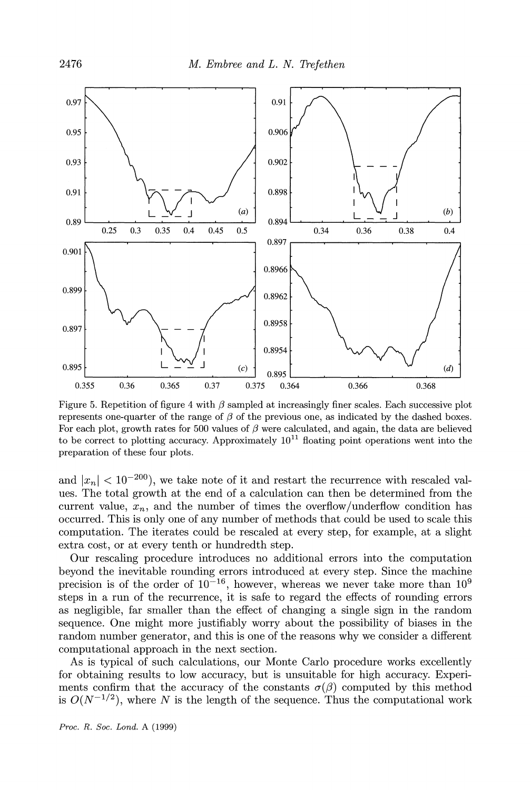

Figure 5. Repetition of figure 4 with  $\beta$  sampled at increasingly finer scales. Each successive plot represents one-quarter of the range of  $\beta$  of the previous one, as indicated by the dashed boxes. For each plot, growth rates for 500 values of  $\beta$  were calculated, and again, the data are believed to be correct to plotting accuracy. Approximately  $10^{11}$  floating point operations went into the **preparation of these four plots.** 

and  $|x_n| < 10^{-200}$ , we take note of it and restart the recurrence with rescaled val**ues. The total growth at the end of a calculation can then be determined from the**  current value,  $x_n$ , and the number of times the overflow/underflow condition has **occurred. This is only one of any number of methods that could be used to scale this computation. The iterates could be rescaled at every step, for example, at a slight extra cost, or at every tenth or hundredth step.** 

**Our rescaling procedure introduces no additional errors into the computation beyond the inevitable rounding errors introduced at every step. Since the machine precision is of the order of 10-16, however, whereas we never take more than 109 steps in a run of the recurrence, it is safe to regard the effects of rounding errors as negligible, far smaller than the effect of changing a single sign in the random sequence. One might more justifiably worry about the possibility of biases in the random number generator, and this is one of the reasons why we consider a different computational approach in the next section.** 

**As is typical of such calculations, our Monte Carlo procedure works excellently for obtaining results to low accuracy, but is unsuitable for high accuracy. Experi**ments confirm that the accuracy of the constants  $\sigma(\beta)$  computed by this method is  $O(N^{-1/2})$ , where N is the length of the sequence. Thus the computational work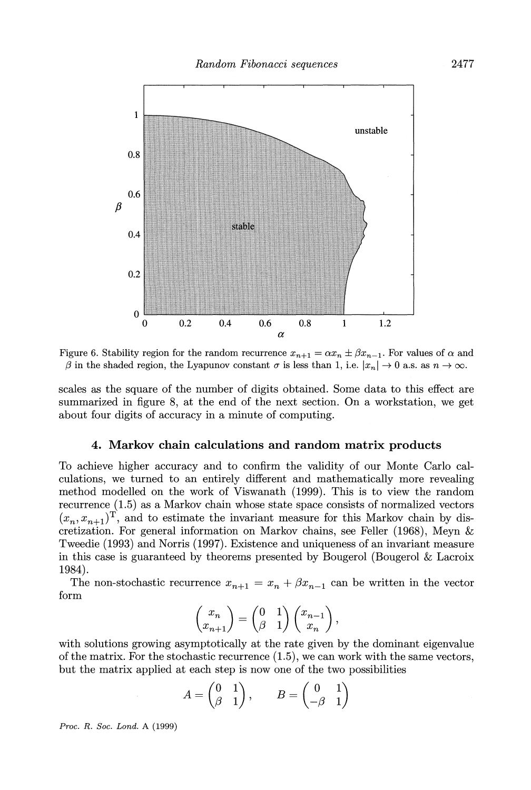

**Figure 6. Stability region for the random recurrence**  $x_{n+1} = \alpha x_n \pm \beta x_{n-1}$ **. For values of**  $\alpha$  **and**  $\beta$  in the shaded region, the Lyapunov constant  $\sigma$  is less than 1, i.e.  $|x_n| \to 0$  a.s. as  $n \to \infty$ .

**scales as the square of the number of digits obtained. Some data to this effect are summarized in figure 8, at the end of the next section. On a workstation, we get about four digits of accuracy in a minute of computing.** 

### **4. Markov chain calculations and random matrix products**

**To achieve higher accuracy and to confirm the validity of our Monte Carlo calculations, we turned to an entirely different and mathematically more revealing method modelled on the work of Viswanath (1999). This is to view the random recurrence (1.5) as a Markov chain whose state space consists of normalized vectors**   $(x_n, x_{n+1})^T$ , and to estimate the invariant measure for this Markov chain by dis**cretization. For general information on Markov chains, see Feller (1968), Meyn & Tweedie (1993) and Norris (1997). Existence and uniqueness of an invariant measure in this case is guaranteed by theorems presented by Bougerol (Bougerol & Lacroix 1984).** 

The non-stochastic recurrence  $x_{n+1} = x_n + \beta x_{n-1}$  can be written in the vector **form** 

$$
\begin{pmatrix} x_n \\ x_{n+1} \end{pmatrix} = \begin{pmatrix} 0 & 1 \\ \beta & 1 \end{pmatrix} \begin{pmatrix} x_{n-1} \\ x_n \end{pmatrix},
$$

**with solutions growing asymptotically at the rate given by the dominant eigenvalue of the matrix. For the stochastic recurrence (1.5), we can work with the same vectors, but the matrix applied at each step is now one of the two possibilities** 

$$
A = \begin{pmatrix} 0 & 1 \\ \beta & 1 \end{pmatrix}, \qquad B = \begin{pmatrix} 0 & 1 \\ -\beta & 1 \end{pmatrix}
$$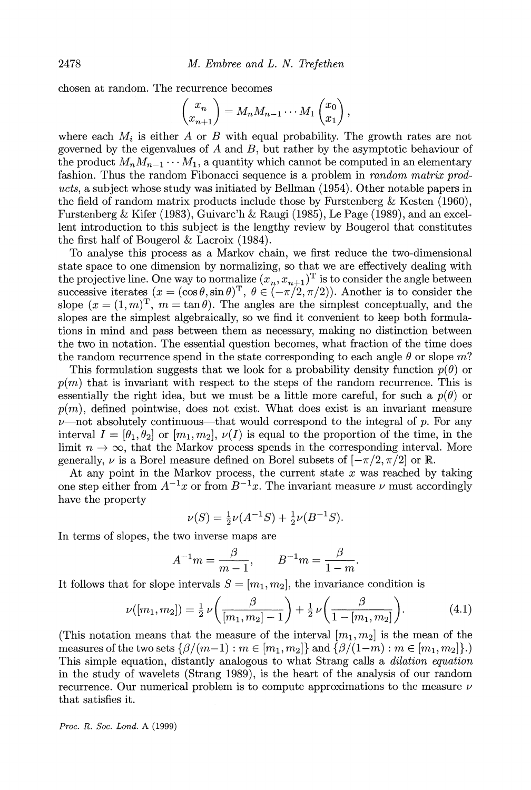**chosen at random. The recurrence becomes** 

$$
\begin{pmatrix} x_n \\ x_{n+1} \end{pmatrix} = M_n M_{n-1} \cdots M_1 \begin{pmatrix} x_0 \\ x_1 \end{pmatrix},
$$

where each  $M_i$  is either A or B with equal probability. The growth rates are not **governed by the eigenvalues of A and B, but rather by the asymptotic behaviour of**  the product  $M_nM_{n-1}\cdots M_1$ , a quantity which cannot be computed in an elementary **fashion. Thus the random Fibonacci sequence is a problem in random matrix products, a subject whose study was initiated by Bellman (1954). Other notable papers in the field of random matrix products include those by Furstenberg & Kesten (1960), Furstenberg & Kifer (1983), Guivarc'h & Raugi (1985), Le Page (1989), and an excellent introduction to this subject is the lengthy review by Bougerol that constitutes the first half of Bougerol & Lacroix (1984).** 

**To analyse this process as a Markov chain, we first reduce the two-dimensional state space to one dimension by normalizing, so that we are effectively dealing with**  the projective line. One way to normalize  $(x_n, x_{n+1})$ <sup>T</sup> is to consider the angle between successive iterates  $(x = (\cos \theta, \sin \theta)^T, \ \theta \in (-\pi/2, \pi/2)$ . Another is to consider the slope  $(x = (1, m)^T$ ,  $m = \tan \theta$ ). The angles are the simplest conceptually, and the **slopes are the simplest algebraically, so we find it convenient to keep both formulations in mind and pass between them as necessary, making no distinction between the two in notation. The essential question becomes, what fraction of the time does**  the random recurrence spend in the state corresponding to each angle  $\theta$  or slope m?

This formulation suggests that we look for a probability density function  $p(\theta)$  or  $p(m)$  that is invariant with respect to the steps of the random recurrence. This is essentially the right idea, but we must be a little more careful, for such a  $p(\theta)$  or **p(m), defined pointwise, does not exist. What does exist is an invariant measure**   $\nu$ —not absolutely continuous—that would correspond to the integral of p. For any interval  $I = [\theta_1, \theta_2]$  or  $[m_1, m_2], \nu(I)$  is equal to the proportion of the time, in the limit  $n \to \infty$ , that the Markov process spends in the corresponding interval. More generally,  $\nu$  is a Borel measure defined on Borel subsets of  $[-\pi/2, \pi/2]$  or R.

**At any point in the Markov process, the current state x was reached by taking**  one step either from  $A^{-1}x$  or from  $B^{-1}x$ . The invariant measure  $\nu$  must accordingly **have the property** 

$$
\nu(S) = \frac{1}{2}\nu(A^{-1}S) + \frac{1}{2}\nu(B^{-1}S).
$$

**In terms of slopes, the two inverse maps are** 

$$
A^{-1}m=\frac{\beta}{m-1},\qquad B^{-1}m=\frac{\beta}{1-m}.
$$

It follows that for slope intervals  $S = [m_1, m_2]$ , the invariance condition is

$$
\nu([m_1, m_2]) = \frac{1}{2} \nu \left( \frac{\beta}{[m_1, m_2] - 1} \right) + \frac{1}{2} \nu \left( \frac{\beta}{1 - [m_1, m_2]} \right).
$$
 (4.1)

(This notation means that the measure of the interval  $[m_1, m_2]$  is the mean of the **measures of the two sets**  $\{\beta/(m-1): m \in [m_1, m_2]\}$  **and**  $\{\beta/(1-m): m \in [m_1, m_2]\}$ **. This simple equation, distantly analogous to what Strang calls a dilation equation in the study of wavelets (Strang 1989), is the heart of the analysis of our random recurrence. Our numerical problem is to compute approximations to the measure v that satisfies it.**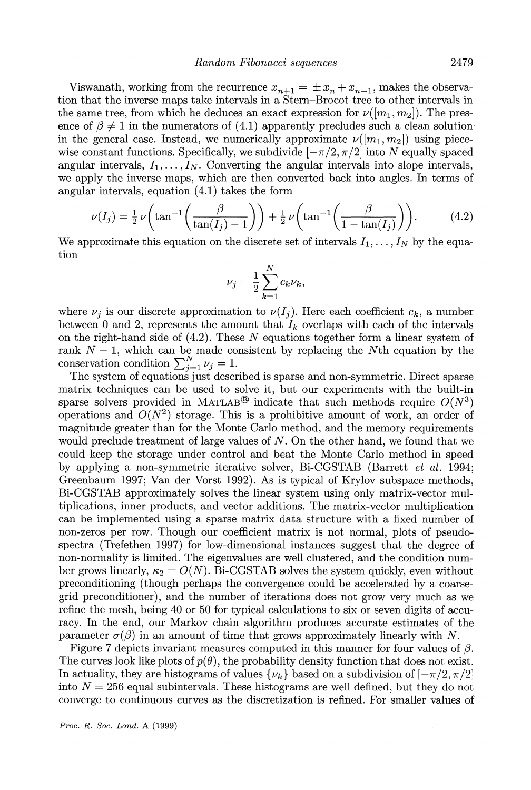Viswanath, working from the recurrence  $x_{n+1} = \pm x_n + x_{n-1}$ , makes the observa**tion that the inverse maps take intervals in a Stern-Brocot tree to other intervals in**  the same tree, from which he deduces an exact expression for  $\nu([m_1, m_2])$ . The presence of  $\beta \neq 1$  in the numerators of (4.1) apparently precludes such a clean solutionin the general case. Instead, we numerically approximate  $\nu([m_1, m_2])$  using piecewise constant functions. Specifically, we subdivide  $[-\pi/2, \pi/2]$  into N equally spaced angular intervals,  $I_1, \ldots, I_N$ . Converting the angular intervals into slope intervals, **we apply the inverse maps, which are then converted back into angles. In terms of angular intervals, equation (4.1) takes the form** 

$$
\nu(I_j) = \frac{1}{2}\nu\left(\tan^{-1}\left(\frac{\beta}{\tan(I_j)-1}\right)\right) + \frac{1}{2}\nu\left(\tan^{-1}\left(\frac{\beta}{1-\tan(I_j)}\right)\right). \tag{4.2}
$$

We approximate this equation on the discrete set of intervals  $I_1, \ldots, I_N$  by the equa**tion** 

$$
\nu_j = \frac{1}{2} \sum_{k=1}^N c_k \nu_k,
$$

where  $\nu_i$  is our discrete approximation to  $\nu(I_i)$ . Here each coefficient  $c_k$ , a number between 0 and 2, represents the amount that  $I_k$  overlaps with each of the intervals **on the right-hand side of (4.2). These N equations together form a linear system of**  rank  $N-1$ , which can be made consistent by replacing the Nth equation by the conservation condition  $\sum_{j=1}^{N} \nu_j = 1$ .

**The system of equations just described is sparse and non-symmetric. Direct sparse matrix techniques can be used to solve it, but our experiments with the built-in**  sparse solvers provided in MATLAB<sup>®</sup> indicate that such methods require  $O(N^3)$ operations and  $O(N^2)$  storage. This is a prohibitive amount of work, an order of **magnitude greater than for the Monte Carlo method, and the memory requirements would preclude treatment of large values of N. On the other hand, we found that we could keep the storage under control and beat the Monte Carlo method in speed by applying a non-symmetric iterative solver, Bi-CGSTAB (Barrett et al. 1994; Greenbaum 1997; Van der Vorst 1992). As is typical of Krylov subspace methods, Bi-CGSTAB approximately solves the linear system using only matrix-vector multiplications, inner products, and vector additions. The matrix-vector multiplication can be implemented using a sparse matrix data structure with a fixed number of non-zeros per row. Though our coefficient matrix is not normal, plots of pseudospectra (Trefethen 1997) for low-dimensional instances suggest that the degree of non-normality is limited. The eigenvalues are well clustered, and the condition num**ber grows linearly,  $\kappa_2 = O(N)$ . Bi-CGSTAB solves the system quickly, even without **preconditioning (though perhaps the convergence could be accelerated by a coarsegrid preconditioner), and the number of iterations does not grow very much as we refine the mesh, being 40 or 50 for typical calculations to six or seven digits of accuracy. In the end, our Markov chain algorithm produces accurate estimates of the parameter**  $\sigma(\beta)$  **in an amount of time that grows approximately linearly with N.** 

Figure 7 depicts invariant measures computed in this manner for four values of  $\beta$ . The curves look like plots of  $p(\theta)$ , the probability density function that does not exist. In actuality, they are histograms of values  $\{\nu_k\}$  based on a subdivision of  $[-\pi/2, \pi/2]$ into  $N = 256$  equal subintervals. These histograms are well defined, but they do not **converge to continuous curves as the discretization is refined. For smaller values of**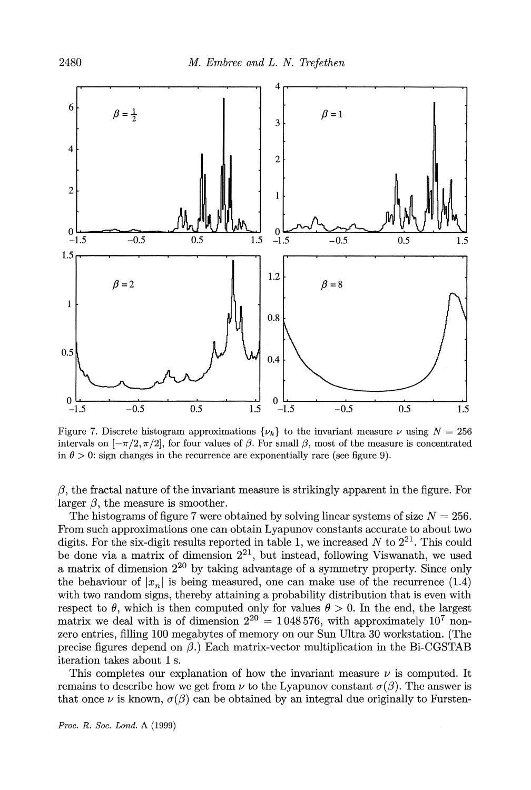

**Figure 7.** Discrete histogram approximations  $\{\nu_k\}$  to the invariant measure  $\nu$  using  $N = 256$ intervals on  $[-\pi/2, \pi/2]$ , for four values of  $\beta$ . For small  $\beta$ , most of the measure is concentrated in  $\theta > 0$ : sign changes in the recurrence are exponentially rare (see figure 9).

**/3, the fractal nature of the invariant measure is strikingly apparent in the figure. For**  larger  $\beta$ , the measure is smoother.

The histograms of figure 7 were obtained by solving linear systems of size  $N = 256$ . **From such approximations one can obtain Lyapunov constants accurate to about two**  digits. For the six-digit results reported in table 1, we increased  $N$  to  $2^{21}$ . This could **be done via a matrix of dimension 221, but instead, following Viswanath, we used a matrix of dimension 220 by taking advantage of a symmetry property. Since only**  the behaviour of  $|x_n|$  is being measured, one can make use of the recurrence (1.4) with two random signs, thereby attaining a probability distribution that is even with respect to  $\theta$ , which is then computed only for values  $\theta > 0$ . In the end, the largest matrix we deal with is of dimension  $2^{20} = 1048576$ , with approximately  $10^7$  non**zero entries, filling 100 megabytes of memory on our Sun Ultra 30 workstation. (The**  precise figures depend on  $\beta$ .) Each matrix-vector multiplication in the Bi-CGSTAB **iteration takes about 1 s.** 

This completes our explanation of how the invariant measure  $\nu$  is computed. It **remains to describe how we get from**  $\nu$  **to the Lyapunov constant**  $\sigma(\beta)$ **. The answer is** that once  $\nu$  is known,  $\sigma(\beta)$  can be obtained by an integral due originally to Fursten-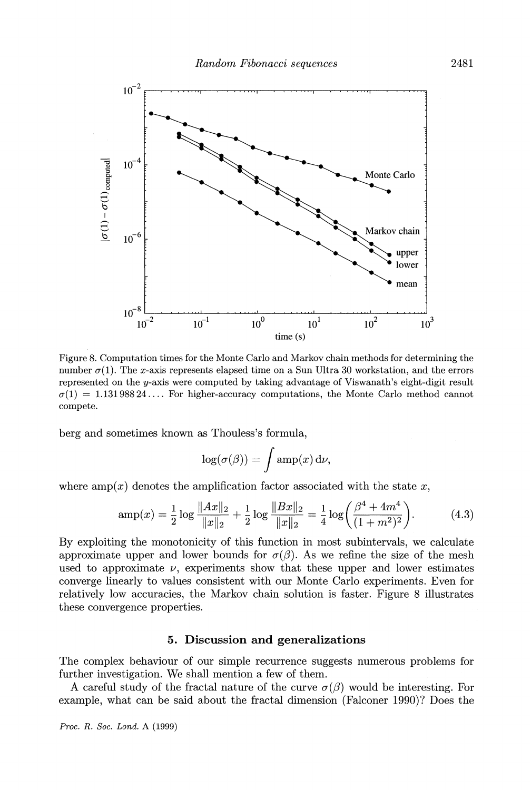

**Figure 8. Computation times for the Monte Carlo and Markov chain methods for determining the**  number  $\sigma(1)$ . The x-axis represents elapsed time on a Sun Ultra 30 workstation, and the errors **represented on the y-axis were computed by taking advantage of Viswanath's eight-digit result**   $\sigma(1) = 1.13198824...$  For higher-accuracy computations, the Monte Carlo method cannot **compete.** 

**berg and sometimes known as Thouless's formula,** 

$$
\log(\sigma(\beta)) = \int \operatorname{amp}(x) \, \mathrm{d}\nu,
$$

where  $amp(x)$  denotes the amplification factor associated with the state x,

$$
amp(x) = \frac{1}{2} \log \frac{\|Ax\|_2}{\|x\|_2} + \frac{1}{2} \log \frac{\|Bx\|_2}{\|x\|_2} = \frac{1}{4} \log \left( \frac{\beta^4 + 4m^4}{(1+m^2)^2} \right).
$$
 (4.3)

**By exploiting the monotonicity of this function in most subintervals, we calculate**  approximate upper and lower bounds for  $\sigma(\beta)$ . As we refine the size of the mesh used to approximate  $\nu$ , experiments show that these upper and lower estimates **converge linearly to values consistent with our Monte Carlo experiments. Even for relatively low accuracies, the Markov chain solution is faster. Figure 8 illustrates these convergence properties.** 

## **5. Discussion and generalizations**

**The complex behaviour of our simple recurrence suggests numerous problems for further investigation. We shall mention a few of them.** 

**A** careful study of the fractal nature of the curve  $\sigma(\beta)$  would be interesting. For **example, what can be said about the fractal dimension (Falconer 1990)? Does the**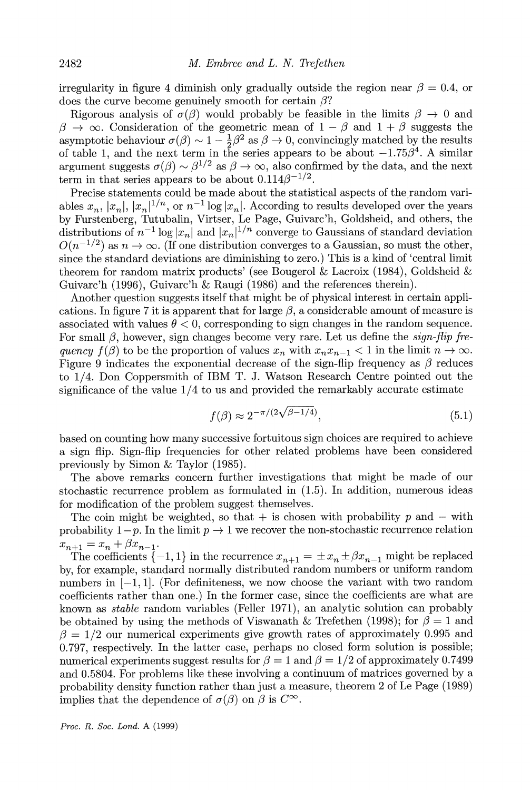irregularity in figure 4 diminish only gradually outside the region near  $\beta = 0.4$ , or **does the curve become genuinely smooth for certain 3?** 

Rigorous analysis of  $\sigma(\beta)$  would probably be feasible in the limits  $\beta \to 0$  and  $\beta \rightarrow \infty$ . Consideration of the geometric mean of  $1 - \beta$  and  $1 + \beta$  suggests the asymptotic behaviour  $\sigma(\beta) \sim 1 - \frac{1}{2}\beta^2$  as  $\beta \to 0$ , convincingly matched by the results of table 1, and the next term in the series appears to be about  $-1.75\beta^4$ . A similar **argument** suggests  $\sigma(\beta) \sim \beta^{1/2}$  as  $\beta \to \infty$ , also confirmed by the data, and the next term in that series appears to be about  $0.114\beta^{-1/2}$ .

**Precise statements could be made about the statistical aspects of the random vari**ables  $x_n$ ,  $|x_n|$ ,  $|x_n|^{1/n}$ , or  $n^{-1}$  log  $|x_n|$ . According to results developed over the years **by Furstenberg, Tutubalin, Virtser, Le Page, Guivarc'h, Goldsheid, and others, the**  distributions of  $n^{-1} \log |x_n|$  and  $|x_n|^{1/n}$  converge to Gaussians of standard deviation  $O(n^{-1/2})$  as  $n \to \infty$ . (If one distribution converges to a Gaussian, so must the other, **since the standard deviations are diminishing to zero.) This is a kind of 'central limit theorem for random matrix products' (see Bougerol & Lacroix (1984), Goldsheid & Guivarc'h (1996), Guivarc'h & Raugi (1986) and the references therein).** 

**Another question suggests itself that might be of physical interest in certain appli**cations. In figure 7 it is apparent that for large  $\beta$ , a considerable amount of measure is associated with values  $\theta < 0$ , corresponding to sign changes in the random sequence. For small  $\beta$ , however, sign changes become very rare. Let us define the *sign-flip fre*quency  $f(\beta)$  to be the proportion of values  $x_n$  with  $x_nx_{n-1} < 1$  in the limit  $n \to \infty$ . Figure 9 indicates the exponential decrease of the sign-flip frequency as  $\beta$  reduces **to 1/4. Don Coppersmith of IBM T. J. Watson Research Centre pointed out the significance of the value 1/4 to us and provided the remarkably accurate estimate** 

$$
f(\beta) \approx 2^{-\pi/(2\sqrt{\beta}-1/4)},\tag{5.1}
$$

**based on counting how many successive fortuitous sign choices are required to achieve a sign flip. Sign-flip frequencies for other related problems have been considered previously by Simon & Taylor (1985).** 

**The above remarks concern further investigations that might be made of our stochastic recurrence problem as formulated in (1.5). In addition, numerous ideas for modification of the problem suggest themselves.** 

The coin might be weighted, so that  $+$  is chosen with probability p and  $-$  with probability  $1-p$ . In the limit  $p \to 1$  we recover the non-stochastic recurrence relation  $x_{n+1} = x_n + \beta x_{n-1}$ 

The coefficients  $\{-1, 1\}$  in the recurrence  $x_{n+1} = \pm x_n \pm \beta x_{n-1}$  might be replaced **by, for example, standard normally distributed random numbers or uniform random numbers in [-1, 1]. (For definiteness, we now choose the variant with two random coefficients rather than one.) In the former case, since the coefficients are what are known as stable random variables (Feller 1971), an analytic solution can probably**  be obtained by using the methods of Viswanath & Trefethen (1998); for  $\beta = 1$  and  $\beta = 1/2$  our numerical experiments give growth rates of approximately 0.995 and **0.797, respectively. In the latter case, perhaps no closed form solution is possible;**  numerical experiments suggest results for  $\beta = 1$  and  $\beta = 1/2$  of approximately 0.7499 **and 0.5804. For problems like these involving a continuum of matrices governed by a probability density function rather than just a measure, theorem 2 of Le Page (1989) implies that the dependence of**  $\sigma(\beta)$  **on**  $\beta$  **<b>is**  $C^{\infty}$ .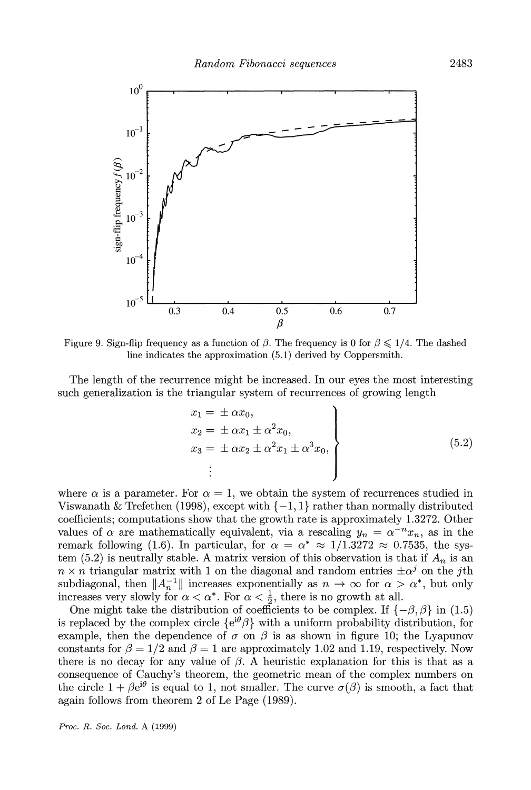

Figure 9. Sign-flip frequency as a function of  $\beta$ . The frequency is 0 for  $\beta \leq 1/4$ . The dashed **line indicates the approximation (5.1) derived by Coppersmith.** 

**The length of the recurrence might be increased. In our eyes the most interesting such generalization is the triangular system of recurrences of growing length** 

$$
x_1 = \pm \alpha x_0,
$$
  
\n
$$
x_2 = \pm \alpha x_1 \pm \alpha^2 x_0,
$$
  
\n
$$
x_3 = \pm \alpha x_2 \pm \alpha^2 x_1 \pm \alpha^3 x_0,
$$
  
\n
$$
\vdots
$$
  
\n(5.2)

where  $\alpha$  is a parameter. For  $\alpha = 1$ , we obtain the system of recurrences studied in Viswanath  $\&$  Trefethen (1998), except with  $\{-1, 1\}$  rather than normally distributed coefficients; computations show that the growth rate is approximately 1.3272. Other values of  $\alpha$  are mathematically equivalent, via a rescaling  $y_n = \alpha^{-n} x_n$ , as in the **remark following (1.6). In particular, for**  $\alpha = \alpha^* \approx 1/1.3272 \approx 0.7535$ **, the sys**tem (5.2) is neutrally stable. A matrix version of this observation is that if  $A_n$  is an  $n \times n$  triangular matrix with 1 on the diagonal and random entries  $\pm \alpha^j$  on the *j*th subdiagonal, then  $||A_n^{-1}||$  increases exponentially as  $n \to \infty$  for  $\alpha > \alpha^*$ , but only increases very slowly for  $\alpha < \alpha^*$ . For  $\alpha < \frac{1}{2}$ , there is no growth at all.

One might take the distribution of coefficients to be complex. If  $\{-\beta, \beta\}$  in (1.5) is replaced by the complex circle  $\{e^{i\theta}\beta\}$  with a uniform probability distribution, for example, then the dependence of  $\sigma$  on  $\beta$  is as shown in figure 10; the Lyapunov constants for  $\beta = 1/2$  and  $\beta = 1$  are approximately 1.02 and 1.19, respectively. Now there is no decay for any value of  $\beta$ . A heuristic explanation for this is that as a **consequence of Cauchy's theorem, the geometric mean of the complex numbers on**  the circle  $1 + \beta e^{i\theta}$  is equal to 1, not smaller. The curve  $\sigma(\beta)$  is smooth, a fact that **again follows from theorem 2 of Le Page (1989).**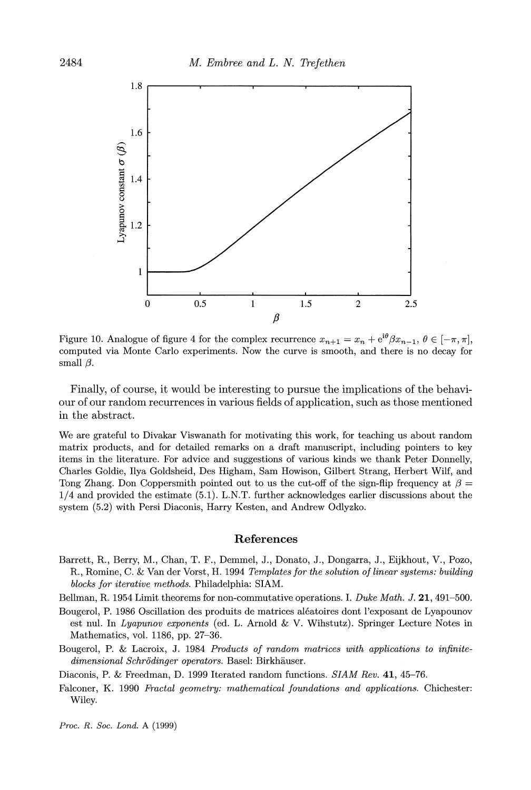

**Figure 10. Analogue of figure 4 for the complex recurrence**  $x_{n+1} = x_n + e^{i\theta} \beta x_{n-1}, \theta \in [-\pi, \pi]$ **, computed via Monte Carlo experiments. Now the curve is smooth, and there is no decay for**  small  $\beta$ .

**Finally, of course, it would be interesting to pursue the implications of the behaviour of our random recurrences in various fields of application, such as those mentioned in the abstract.** 

**We are grateful to Divakar Viswanath for motivating this work, for teaching us about random matrix products, and for detailed remarks on a draft manuscript, including pointers to key items in the literature. For advice and suggestions of various kinds we thank Peter Donnelly, Charles Coldie, Ilya Goldsheid, Des Higham, Sam Howison, Gilbert Strang, Herbert Wilf, and**  Tong Zhang. Don Coppersmith pointed out to us the cut-off of the sign-flip frequency at  $\beta =$ **1/4 and provided the estimate (5.1). L.N.T. further acknowledges earlier discussions about the system (5.2) with Persi Diaconis, Harry Kesten, and Andrew Odlyzko.** 

#### **References**

**Barrett, R., Berry, M., Chan, T. F., Demmel, J., Donato, J., Dongarra, J., Eijkhout, V., Pozo, R., Romine, C. & Van der Vorst, H. 1994 Templates for the solution of linear systems: building blocks for iterative methods. Philadelphia: SIAM.** 

**Bellman, R. 1954 Limit theorems for non-commutative operations. I. Duke Math. J. 21, 491-500.** 

- **Bougerol, P. 1986 Oscillation des produits de matrices aleatoires dont l'exposant de Lyapounov est nul. In Lyapunov exponents (ed. L. Arnold & V. Wihstutz). Springer Lecture Notes in Mathematics, vol. 1186, pp. 27-36.**
- **Bougerol, P. & Lacroix, J. 1984 Products of random matrices with applications to infinitedimensional Schrodinger operators. Basel: Birkhiuser.**

**Diaconis, P. & Freedman, D. 1999 Iterated random functions. SIAM Rev. 41, 45-76.** 

**Falconer, K. 1990 Fractal geometry: mathematical foundations and applications. Chichester: Wiley.**